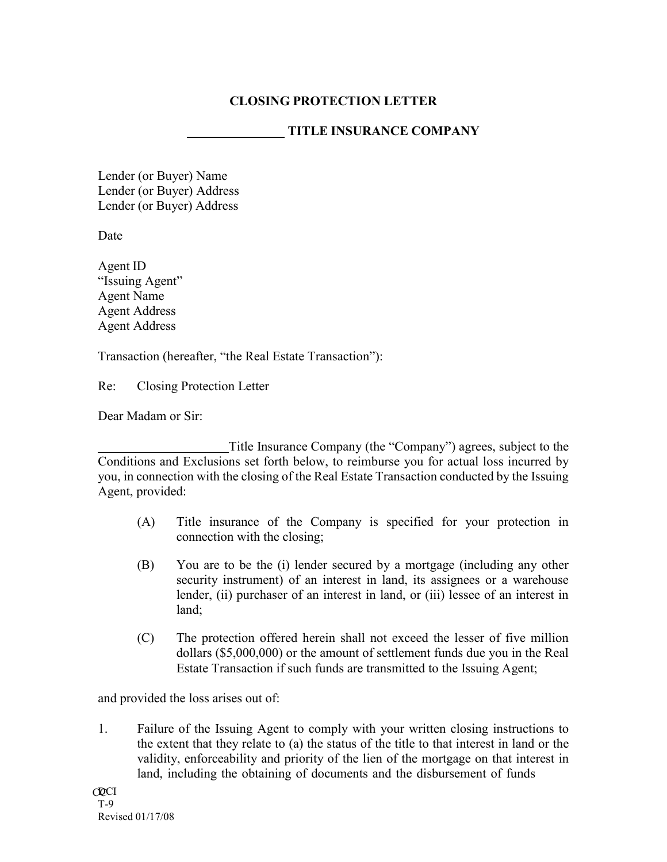## **CLOSING PROTECTION LETTER**

## **TITLE INSURANCE COMPANY**

Lender (or Buyer) Name Lender (or Buyer) Address Lender (or Buyer) Address

Date

Agent ID "Issuing Agent" Agent Name Agent Address Agent Address

Transaction (hereafter, "the Real Estate Transaction"):

Re: Closing Protection Letter

Dear Madam or Sir:

Title Insurance Company (the "Company") agrees, subject to the Conditions and Exclusions set forth below, to reimburse you for actual loss incurred by you, in connection with the closing of the Real Estate Transaction conducted by the Issuing Agent, provided:

- (A) Title insurance of the Company is specified for your protection in connection with the closing;
- (B) You are to be the (i) lender secured by a mortgage (including any other security instrument) of an interest in land, its assignees or a warehouse lender, (ii) purchaser of an interest in land, or (iii) lessee of an interest in land;
- (C) The protection offered herein shall not exceed the lesser of five million dollars (\$5,000,000) or the amount of settlement funds due you in the Real Estate Transaction if such funds are transmitted to the Issuing Agent;

and provided the loss arises out of:

1. Failure of the Issuing Agent to comply with your written closing instructions to the extent that they relate to (a) the status of the title to that interest in land or the validity, enforceability and priority of the lien of the mortgage on that interest in land, including the obtaining of documents and the disbursement of funds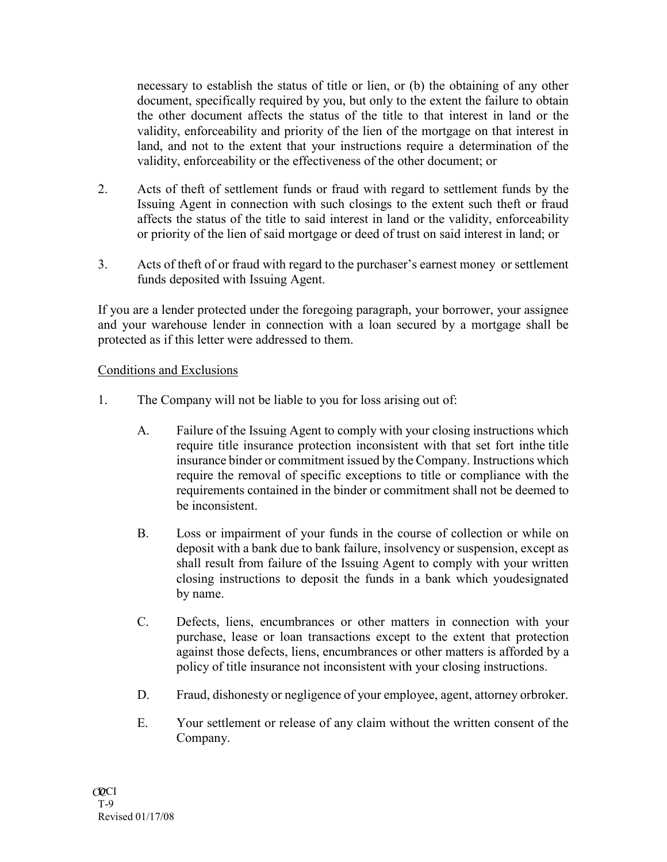necessary to establish the status of title or lien, or (b) the obtaining of any other document, specifically required by you, but only to the extent the failure to obtain the other document affects the status of the title to that interest in land or the validity, enforceability and priority of the lien of the mortgage on that interest in land, and not to the extent that your instructions require a determination of the validity, enforceability or the effectiveness of the other document; or

- 2. Acts of theft of settlement funds or fraud with regard to settlement funds by the Issuing Agent in connection with such closings to the extent such theft or fraud affects the status of the title to said interest in land or the validity, enforceability or priority of the lien of said mortgage or deed of trust on said interest in land; or
- 3. Acts of theft of or fraud with regard to the purchaser's earnest money or settlement funds deposited with Issuing Agent.

If you are a lender protected under the foregoing paragraph, your borrower, your assignee and your warehouse lender in connection with a loan secured by a mortgage shall be protected as if this letter were addressed to them.

## Conditions and Exclusions

- 1. The Company will not be liable to you for loss arising out of:
	- A. Failure of the Issuing Agent to comply with your closing instructions which require title insurance protection inconsistent with that set fort inthe title insurance binder or commitment issued by the Company. Instructions which require the removal of specific exceptions to title or compliance with the requirements contained in the binder or commitment shall not be deemed to be inconsistent.
	- B. Loss or impairment of your funds in the course of collection or while on deposit with a bank due to bank failure, insolvency or suspension, except as shall result from failure of the Issuing Agent to comply with your written closing instructions to deposit the funds in a bank which youdesignated by name.
	- C. Defects, liens, encumbrances or other matters in connection with your purchase, lease or loan transactions except to the extent that protection against those defects, liens, encumbrances or other matters is afforded by a policy of title insurance not inconsistent with your closing instructions.
	- D. Fraud, dishonesty or negligence of your employee, agent, attorney orbroker.
	- E. Your settlement or release of any claim without the written consent of the Company.